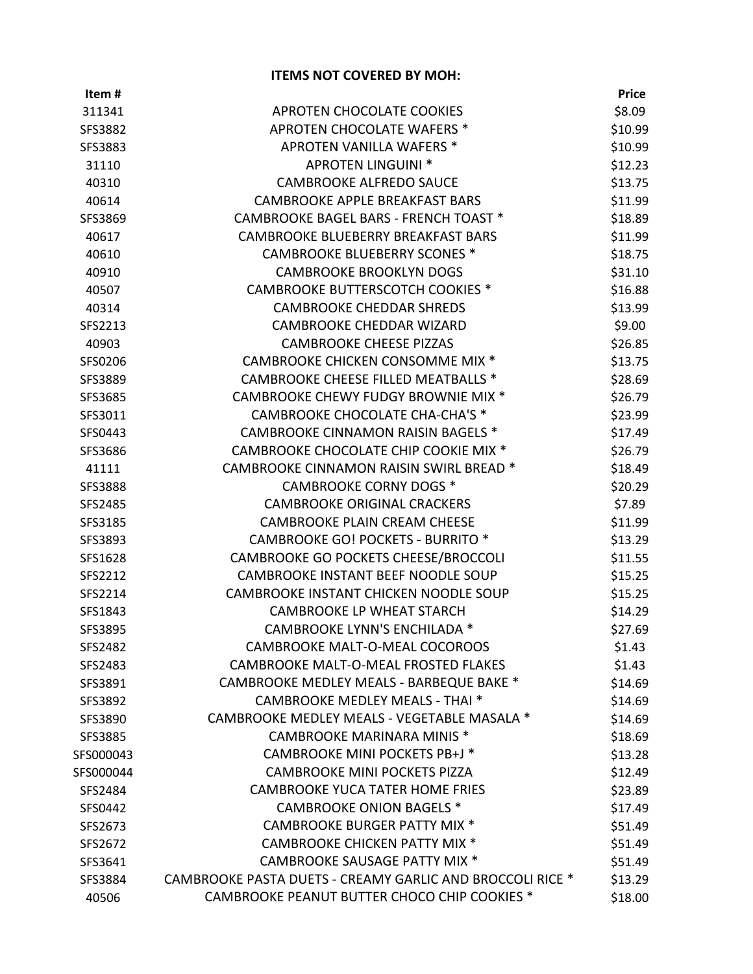## **ITEMS NOT COVERED BY MOH:**

| Item#          |                                                           | <b>Price</b> |
|----------------|-----------------------------------------------------------|--------------|
| 311341         | APROTEN CHOCOLATE COOKIES                                 | \$8.09       |
| SFS3882        | APROTEN CHOCOLATE WAFERS *                                | \$10.99      |
| SFS3883        | APROTEN VANILLA WAFERS *                                  | \$10.99      |
| 31110          | <b>APROTEN LINGUINI *</b>                                 | \$12.23      |
| 40310          | <b>CAMBROOKE ALFREDO SAUCE</b>                            | \$13.75      |
| 40614          | <b>CAMBROOKE APPLE BREAKFAST BARS</b>                     | \$11.99      |
| SFS3869        | CAMBROOKE BAGEL BARS - FRENCH TOAST *                     | \$18.89      |
| 40617          | CAMBROOKE BLUEBERRY BREAKFAST BARS                        | \$11.99      |
| 40610          | <b>CAMBROOKE BLUEBERRY SCONES *</b>                       | \$18.75      |
| 40910          | <b>CAMBROOKE BROOKLYN DOGS</b>                            | \$31.10      |
| 40507          | <b>CAMBROOKE BUTTERSCOTCH COOKIES *</b>                   | \$16.88      |
| 40314          | <b>CAMBROOKE CHEDDAR SHREDS</b>                           | \$13.99      |
| SFS2213        | <b>CAMBROOKE CHEDDAR WIZARD</b>                           | \$9.00       |
| 40903          | <b>CAMBROOKE CHEESE PIZZAS</b>                            | \$26.85      |
| SFS0206        | CAMBROOKE CHICKEN CONSOMME MIX *                          | \$13.75      |
| SFS3889        | CAMBROOKE CHEESE FILLED MEATBALLS *                       | \$28.69      |
| SFS3685        | CAMBROOKE CHEWY FUDGY BROWNIE MIX *                       | \$26.79      |
| SFS3011        | CAMBROOKE CHOCOLATE CHA-CHA'S *                           | \$23.99      |
| SFS0443        | <b>CAMBROOKE CINNAMON RAISIN BAGELS *</b>                 | \$17.49      |
| SFS3686        | CAMBROOKE CHOCOLATE CHIP COOKIE MIX *                     | \$26.79      |
| 41111          | CAMBROOKE CINNAMON RAISIN SWIRL BREAD *                   | \$18.49      |
| <b>SFS3888</b> | <b>CAMBROOKE CORNY DOGS *</b>                             | \$20.29      |
| SFS2485        | <b>CAMBROOKE ORIGINAL CRACKERS</b>                        | \$7.89       |
| SFS3185        | CAMBROOKE PLAIN CREAM CHEESE                              | \$11.99      |
| SFS3893        | CAMBROOKE GO! POCKETS - BURRITO *                         | \$13.29      |
| SFS1628        | CAMBROOKE GO POCKETS CHEESE/BROCCOLI                      | \$11.55      |
| SFS2212        | CAMBROOKE INSTANT BEEF NOODLE SOUP                        | \$15.25      |
| SFS2214        | CAMBROOKE INSTANT CHICKEN NOODLE SOUP                     | \$15.25      |
| SFS1843        | <b>CAMBROOKE LP WHEAT STARCH</b>                          | \$14.29      |
| SFS3895        | <b>CAMBROOKE LYNN'S ENCHILADA *</b>                       | \$27.69      |
| SFS2482        | <b>CAMBROOKE MALT-O-MEAL COCOROOS</b>                     | \$1.43       |
| SFS2483        | CAMBROOKE MALT-O-MEAL FROSTED FLAKES                      | \$1.43       |
| SFS3891        | CAMBROOKE MEDLEY MEALS - BARBEQUE BAKE *                  | \$14.69      |
| SFS3892        | <b>CAMBROOKE MEDLEY MEALS - THAI *</b>                    | \$14.69      |
| SFS3890        | CAMBROOKE MEDLEY MEALS - VEGETABLE MASALA *               | \$14.69      |
| SFS3885        | <b>CAMBROOKE MARINARA MINIS *</b>                         | \$18.69      |
| SFS000043      | CAMBROOKE MINI POCKETS PB+J *                             | \$13.28      |
| SFS000044      | CAMBROOKE MINI POCKETS PIZZA                              | \$12.49      |
| SFS2484        | <b>CAMBROOKE YUCA TATER HOME FRIES</b>                    | \$23.89      |
| SFS0442        | <b>CAMBROOKE ONION BAGELS *</b>                           | \$17.49      |
| SFS2673        | <b>CAMBROOKE BURGER PATTY MIX *</b>                       | \$51.49      |
| SFS2672        | <b>CAMBROOKE CHICKEN PATTY MIX *</b>                      | \$51.49      |
| SFS3641        | CAMBROOKE SAUSAGE PATTY MIX *                             | \$51.49      |
| SFS3884        | CAMBROOKE PASTA DUETS - CREAMY GARLIC AND BROCCOLI RICE * | \$13.29      |
| 40506          | CAMBROOKE PEANUT BUTTER CHOCO CHIP COOKIES *              | \$18.00      |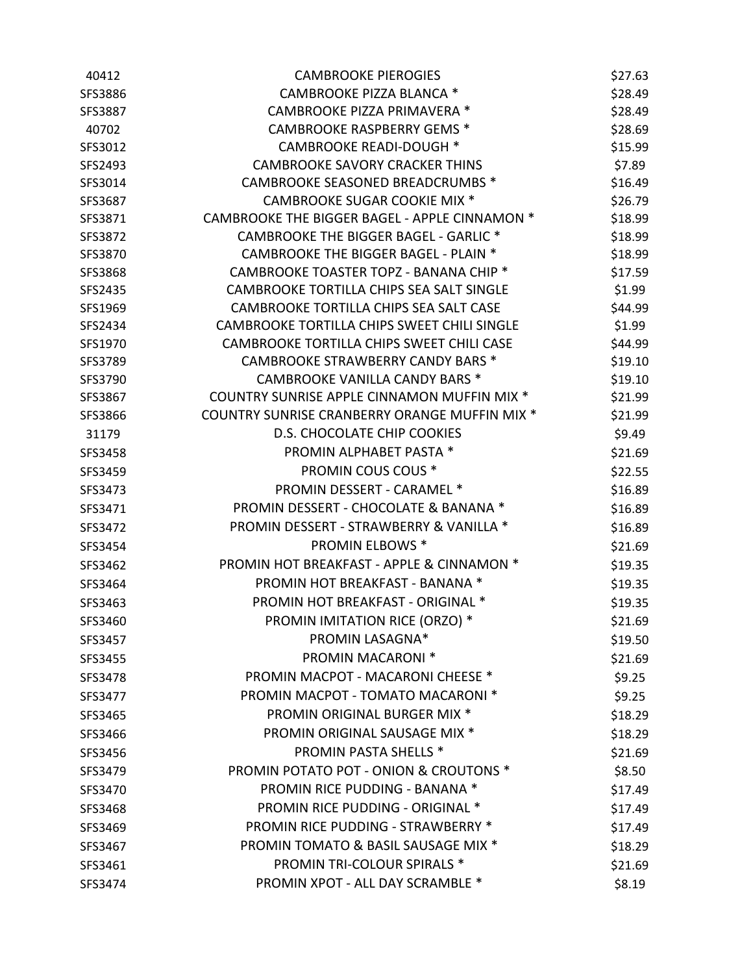| 40412   | <b>CAMBROOKE PIEROGIES</b>                    | \$27.63 |
|---------|-----------------------------------------------|---------|
| SFS3886 | <b>CAMBROOKE PIZZA BLANCA *</b>               | \$28.49 |
| SFS3887 | CAMBROOKE PIZZA PRIMAVERA *                   | \$28.49 |
| 40702   | <b>CAMBROOKE RASPBERRY GEMS *</b>             | \$28.69 |
| SFS3012 | <b>CAMBROOKE READI-DOUGH *</b>                | \$15.99 |
| SFS2493 | <b>CAMBROOKE SAVORY CRACKER THINS</b>         | \$7.89  |
| SFS3014 | CAMBROOKE SEASONED BREADCRUMBS *              | \$16.49 |
| SFS3687 | <b>CAMBROOKE SUGAR COOKIE MIX *</b>           | \$26.79 |
| SFS3871 | CAMBROOKE THE BIGGER BAGEL - APPLE CINNAMON * | \$18.99 |
| SFS3872 | CAMBROOKE THE BIGGER BAGEL - GARLIC *         | \$18.99 |
| SFS3870 | CAMBROOKE THE BIGGER BAGEL - PLAIN *          | \$18.99 |
| SFS3868 | CAMBROOKE TOASTER TOPZ - BANANA CHIP *        | \$17.59 |
| SFS2435 | CAMBROOKE TORTILLA CHIPS SEA SALT SINGLE      | \$1.99  |
| SFS1969 | CAMBROOKE TORTILLA CHIPS SEA SALT CASE        | \$44.99 |
| SFS2434 | CAMBROOKE TORTILLA CHIPS SWEET CHILI SINGLE   | \$1.99  |
| SFS1970 | CAMBROOKE TORTILLA CHIPS SWEET CHILI CASE     | \$44.99 |
| SFS3789 | CAMBROOKE STRAWBERRY CANDY BARS *             | \$19.10 |
| SFS3790 | <b>CAMBROOKE VANILLA CANDY BARS *</b>         | \$19.10 |
| SFS3867 | COUNTRY SUNRISE APPLE CINNAMON MUFFIN MIX *   | \$21.99 |
| SFS3866 | COUNTRY SUNRISE CRANBERRY ORANGE MUFFIN MIX * | \$21.99 |
| 31179   | D.S. CHOCOLATE CHIP COOKIES                   | \$9.49  |
| SFS3458 | PROMIN ALPHABET PASTA *                       | \$21.69 |
| SFS3459 | PROMIN COUS COUS *                            | \$22.55 |
| SFS3473 | PROMIN DESSERT - CARAMEL *                    | \$16.89 |
| SFS3471 | PROMIN DESSERT - CHOCOLATE & BANANA *         | \$16.89 |
| SFS3472 | PROMIN DESSERT - STRAWBERRY & VANILLA *       | \$16.89 |
| SFS3454 | <b>PROMIN ELBOWS *</b>                        | \$21.69 |
| SFS3462 | PROMIN HOT BREAKFAST - APPLE & CINNAMON *     | \$19.35 |
| SFS3464 | PROMIN HOT BREAKFAST - BANANA *               | \$19.35 |
| SFS3463 | PROMIN HOT BREAKFAST - ORIGINAL *             | \$19.35 |
| SFS3460 | PROMIN IMITATION RICE (ORZO) *                | \$21.69 |
| SFS3457 | PROMIN LASAGNA*                               | \$19.50 |
| SFS3455 | PROMIN MACARONI *                             | \$21.69 |
| SFS3478 | PROMIN MACPOT - MACARONI CHEESE *             | \$9.25  |
| SFS3477 | PROMIN MACPOT - TOMATO MACARONI *             | \$9.25  |
| SFS3465 | PROMIN ORIGINAL BURGER MIX *                  | \$18.29 |
| SFS3466 | PROMIN ORIGINAL SAUSAGE MIX *                 | \$18.29 |
| SFS3456 | PROMIN PASTA SHELLS *                         | \$21.69 |
| SFS3479 | PROMIN POTATO POT - ONION & CROUTONS *        | \$8.50  |
| SFS3470 | PROMIN RICE PUDDING - BANANA *                | \$17.49 |
| SFS3468 | PROMIN RICE PUDDING - ORIGINAL *              | \$17.49 |
| SFS3469 | PROMIN RICE PUDDING - STRAWBERRY *            | \$17.49 |
| SFS3467 | PROMIN TOMATO & BASIL SAUSAGE MIX *           | \$18.29 |
| SFS3461 | PROMIN TRI-COLOUR SPIRALS *                   | \$21.69 |
| SFS3474 | PROMIN XPOT - ALL DAY SCRAMBLE *              | \$8.19  |
|         |                                               |         |